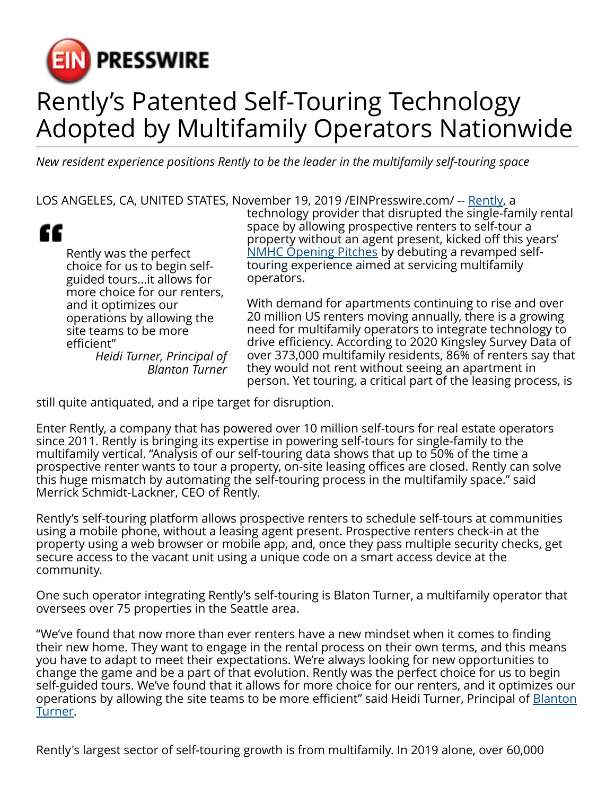

## Rently's Patented Self-Touring Technology Adopted by Multifamily Operators Nationwide

*New resident experience positions Rently to be the leader in the multifamily self-touring space*

LOS ANGELES, CA, UNITED STATES, November 19, 2019 /[EINPresswire.com/](http://www.einpresswire.com) -- [Rently](https://use.rently.com/), a



Rently was the perfect choice for us to begin selfguided tours...it allows for more choice for our renters, and it optimizes our operations by allowing the site teams to be more efficient" *Heidi Turner, Principal of*

*Blanton Turner*

technology provider that disrupted the single-family rental space by allowing prospective renters to self-tour a property without an agent present, kicked off this years' [NMHC Opening Pitches](https://www.nmhc.org/meetings/calendar/2019-nmhc-optech-conference-exposition/opening-pitches-showcase/marketing-and-advertising/) by debuting a revamped selftouring experience aimed at servicing multifamily operators.

With demand for apartments continuing to rise and over 20 million US renters moving annually, there is a growing need for multifamily operators to integrate technology to drive efficiency. According to 2020 Kingsley Survey Data of over 373,000 multifamily residents, 86% of renters say that they would not rent without seeing an apartment in person. Yet touring, a critical part of the leasing process, is

still quite antiquated, and a ripe target for disruption.

Enter Rently, a company that has powered over 10 million self-tours for real estate operators since 2011. Rently is bringing its expertise in powering self-tours for single-family to the multifamily vertical. "Analysis of our self-touring data shows that up to 50% of the time a prospective renter wants to tour a property, on-site leasing offices are closed. Rently can solve this huge mismatch by automating the self-touring process in the multifamily space." said Merrick Schmidt-Lackner, CEO of Rently.

Rently's self-touring platform allows prospective renters to schedule self-tours at communities using a mobile phone, without a leasing agent present. Prospective renters check-in at the property using a web browser or mobile app, and, once they pass multiple security checks, get secure access to the vacant unit using a unique code on a smart access device at the community.

One such operator integrating Rently's self-touring is Blaton Turner, a multifamily operator that oversees over 75 properties in the Seattle area.

"We've found that now more than ever renters have a new mindset when it comes to finding their new home. They want to engage in the rental process on their own terms, and this means you have to adapt to meet their expectations. We're always looking for new opportunities to change the game and be a part of that evolution. Rently was the perfect choice for us to begin self-guided tours. We've found that it allows for more choice for our renters, and it optimizes our operations by allowing the site teams to be more efficient" said Heidi Turner, Principal of [Blanton](http://www.blantonturner.com/) [Turner](http://www.blantonturner.com/).

Rently's largest sector of self-touring growth is from multifamily. In 2019 alone, over 60,000